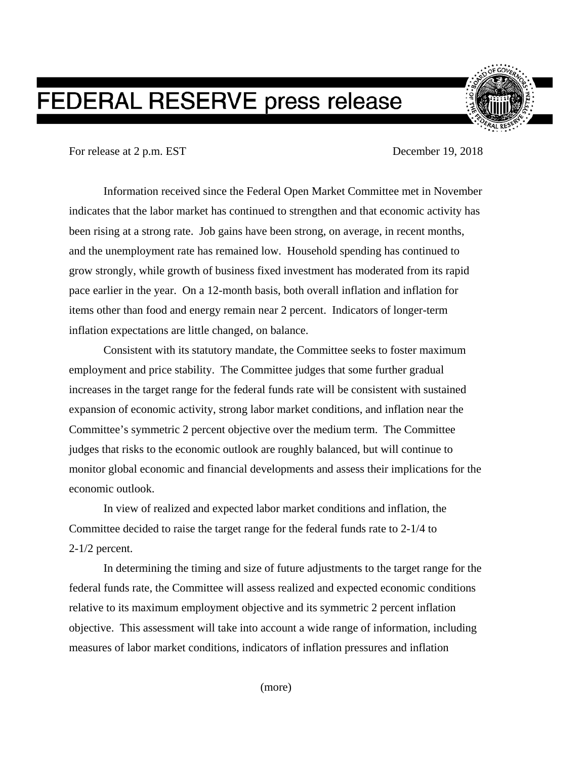## **FEDERAL RESERVE press release**

For release at 2 p.m. EST December 19, 2018

Information received since the Federal Open Market Committee met in November indicates that the labor market has continued to strengthen and that economic activity has been rising at a strong rate. Job gains have been strong, on average, in recent months, and the unemployment rate has remained low. Household spending has continued to grow strongly, while growth of business fixed investment has moderated from its rapid pace earlier in the year. On a 12-month basis, both overall inflation and inflation for items other than food and energy remain near 2 percent. Indicators of longer-term inflation expectations are little changed, on balance.

Consistent with its statutory mandate, the Committee seeks to foster maximum employment and price stability. The Committee judges that some further gradual increases in the target range for the federal funds rate will be consistent with sustained expansion of economic activity, strong labor market conditions, and inflation near the Committee's symmetric 2 percent objective over the medium term. The Committee judges that risks to the economic outlook are roughly balanced, but will continue to monitor global economic and financial developments and assess their implications for the economic outlook.

In view of realized and expected labor market conditions and inflation, the Committee decided to raise the target range for the federal funds rate to 2-1/4 to 2-1/2 percent.

In determining the timing and size of future adjustments to the target range for the federal funds rate, the Committee will assess realized and expected economic conditions relative to its maximum employment objective and its symmetric 2 percent inflation objective. This assessment will take into account a wide range of information, including measures of labor market conditions, indicators of inflation pressures and inflation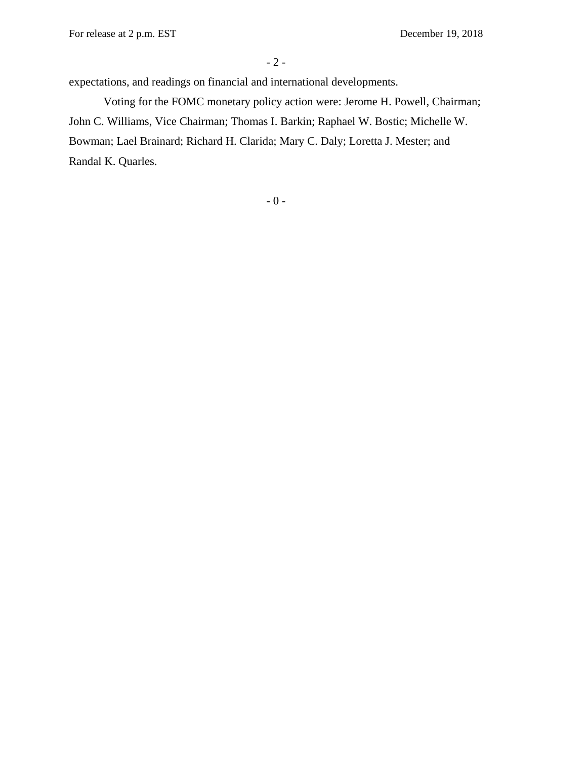For release at 2 p.m. EST December 19, 2018

expectations, and readings on financial and international developments.

Voting for the FOMC monetary policy action were: Jerome H. Powell, Chairman; John C. Williams, Vice Chairman; Thomas I. Barkin; Raphael W. Bostic; Michelle W. Bowman; Lael Brainard; Richard H. Clarida; Mary C. Daly; Loretta J. Mester; and Randal K. Quarles.

 $-$  0  $-$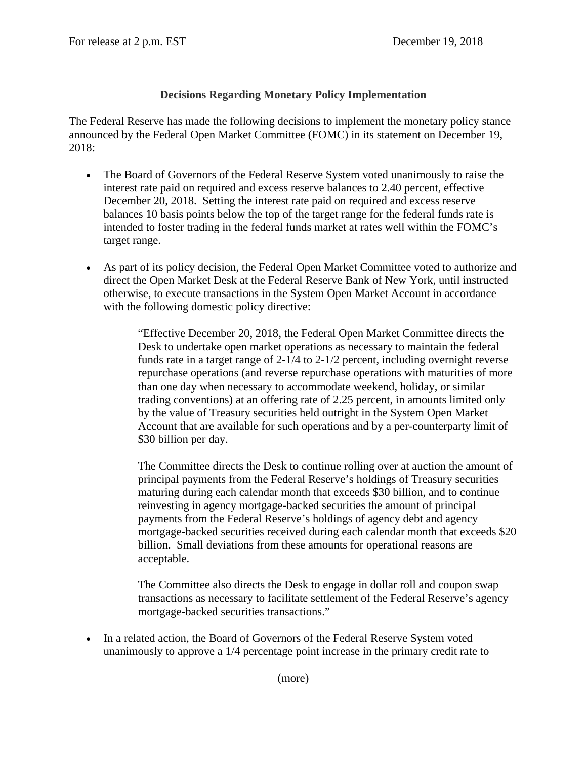## **Decisions Regarding Monetary Policy Implementation**

The Federal Reserve has made the following decisions to implement the monetary policy stance announced by the Federal Open Market Committee (FOMC) in its statement on December 19, 2018:

- The Board of Governors of the Federal Reserve System voted unanimously to raise the interest rate paid on required and excess reserve balances to 2.40 percent, effective December 20, 2018. Setting the interest rate paid on required and excess reserve balances 10 basis points below the top of the target range for the federal funds rate is intended to foster trading in the federal funds market at rates well within the FOMC's target range.
- As part of its policy decision, the Federal Open Market Committee voted to authorize and direct the Open Market Desk at the Federal Reserve Bank of New York, until instructed otherwise, to execute transactions in the System Open Market Account in accordance with the following domestic policy directive:

"Effective December 20, 2018, the Federal Open Market Committee directs the Desk to undertake open market operations as necessary to maintain the federal funds rate in a target range of 2-1/4 to 2-1/2 percent, including overnight reverse repurchase operations (and reverse repurchase operations with maturities of more than one day when necessary to accommodate weekend, holiday, or similar trading conventions) at an offering rate of 2.25 percent, in amounts limited only by the value of Treasury securities held outright in the System Open Market Account that are available for such operations and by a per-counterparty limit of \$30 billion per day.

The Committee directs the Desk to continue rolling over at auction the amount of principal payments from the Federal Reserve's holdings of Treasury securities maturing during each calendar month that exceeds \$30 billion, and to continue reinvesting in agency mortgage-backed securities the amount of principal payments from the Federal Reserve's holdings of agency debt and agency mortgage-backed securities received during each calendar month that exceeds \$20 billion. Small deviations from these amounts for operational reasons are acceptable.

The Committee also directs the Desk to engage in dollar roll and coupon swap transactions as necessary to facilitate settlement of the Federal Reserve's agency mortgage-backed securities transactions."

• In a related action, the Board of Governors of the Federal Reserve System voted unanimously to approve a 1/4 percentage point increase in the primary credit rate to